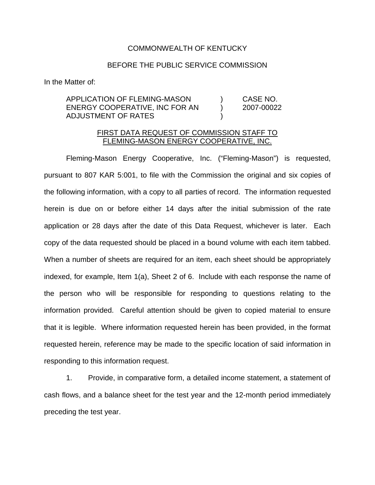## COMMONWEALTH OF KENTUCKY

## BEFORE THE PUBLIC SERVICE COMMISSION

In the Matter of:

# APPLICATION OF FLEMING-MASON ) CASE NO. ENERGY COOPERATIVE, INC FOR AN (2007-00022) ADJUSTMENT OF RATES )

## FIRST DATA REQUEST OF COMMISSION STAFF TO FLEMING-MASON ENERGY COOPERATIVE, INC.

Fleming-Mason Energy Cooperative, Inc. ("Fleming-Mason") is requested, pursuant to 807 KAR 5:001, to file with the Commission the original and six copies of the following information, with a copy to all parties of record. The information requested herein is due on or before either 14 days after the initial submission of the rate application or 28 days after the date of this Data Request, whichever is later. Each copy of the data requested should be placed in a bound volume with each item tabbed. When a number of sheets are required for an item, each sheet should be appropriately indexed, for example, Item 1(a), Sheet 2 of 6. Include with each response the name of the person who will be responsible for responding to questions relating to the information provided. Careful attention should be given to copied material to ensure that it is legible. Where information requested herein has been provided, in the format requested herein, reference may be made to the specific location of said information in responding to this information request.

1. Provide, in comparative form, a detailed income statement, a statement of cash flows, and a balance sheet for the test year and the 12-month period immediately preceding the test year.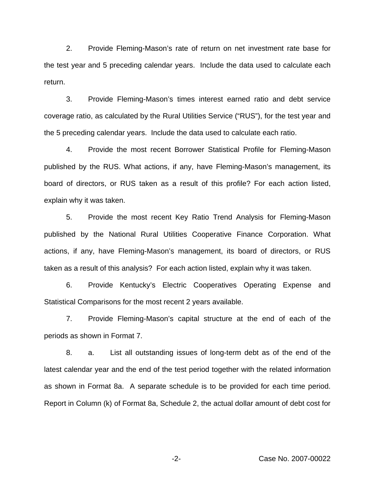2. Provide Fleming-Mason's rate of return on net investment rate base for the test year and 5 preceding calendar years. Include the data used to calculate each return.

3. Provide Fleming-Mason's times interest earned ratio and debt service coverage ratio, as calculated by the Rural Utilities Service ("RUS"), for the test year and the 5 preceding calendar years. Include the data used to calculate each ratio.

4. Provide the most recent Borrower Statistical Profile for Fleming-Mason published by the RUS. What actions, if any, have Fleming-Mason's management, its board of directors, or RUS taken as a result of this profile? For each action listed, explain why it was taken.

5. Provide the most recent Key Ratio Trend Analysis for Fleming-Mason published by the National Rural Utilities Cooperative Finance Corporation. What actions, if any, have Fleming-Mason's management, its board of directors, or RUS taken as a result of this analysis? For each action listed, explain why it was taken.

6. Provide Kentucky's Electric Cooperatives Operating Expense and Statistical Comparisons for the most recent 2 years available.

7. Provide Fleming-Mason's capital structure at the end of each of the periods as shown in Format 7.

8. a. List all outstanding issues of long-term debt as of the end of the latest calendar year and the end of the test period together with the related information as shown in Format 8a. A separate schedule is to be provided for each time period. Report in Column (k) of Format 8a, Schedule 2, the actual dollar amount of debt cost for

-2- Case No. 2007-00022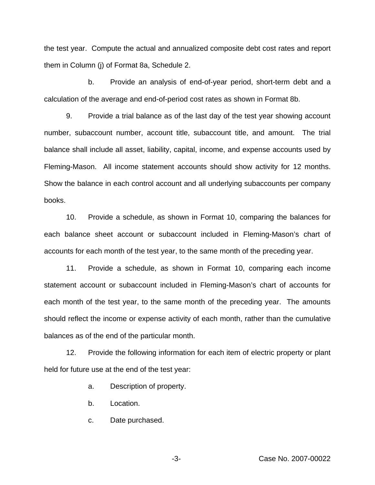the test year. Compute the actual and annualized composite debt cost rates and report them in Column (j) of Format 8a, Schedule 2.

b. Provide an analysis of end-of-year period, short-term debt and a calculation of the average and end-of-period cost rates as shown in Format 8b.

9. Provide a trial balance as of the last day of the test year showing account number, subaccount number, account title, subaccount title, and amount. The trial balance shall include all asset, liability, capital, income, and expense accounts used by Fleming-Mason. All income statement accounts should show activity for 12 months. Show the balance in each control account and all underlying subaccounts per company books.

10. Provide a schedule, as shown in Format 10, comparing the balances for each balance sheet account or subaccount included in Fleming-Mason's chart of accounts for each month of the test year, to the same month of the preceding year.

11. Provide a schedule, as shown in Format 10, comparing each income statement account or subaccount included in Fleming-Mason's chart of accounts for each month of the test year, to the same month of the preceding year. The amounts should reflect the income or expense activity of each month, rather than the cumulative balances as of the end of the particular month.

12. Provide the following information for each item of electric property or plant held for future use at the end of the test year:

a. Description of property.

- b. Location.
- c. Date purchased.

-3- Case No. 2007-00022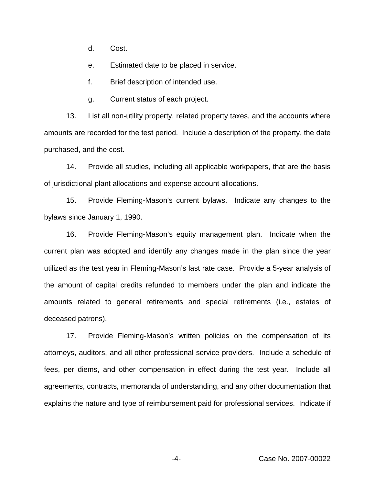d. Cost.

e. Estimated date to be placed in service.

f. Brief description of intended use.

g. Current status of each project.

13. List all non-utility property, related property taxes, and the accounts where amounts are recorded for the test period. Include a description of the property, the date purchased, and the cost.

14. Provide all studies, including all applicable workpapers, that are the basis of jurisdictional plant allocations and expense account allocations.

15. Provide Fleming-Mason's current bylaws. Indicate any changes to the bylaws since January 1, 1990.

16. Provide Fleming-Mason's equity management plan. Indicate when the current plan was adopted and identify any changes made in the plan since the year utilized as the test year in Fleming-Mason's last rate case. Provide a 5-year analysis of the amount of capital credits refunded to members under the plan and indicate the amounts related to general retirements and special retirements (i.e., estates of deceased patrons).

17. Provide Fleming-Mason's written policies on the compensation of its attorneys, auditors, and all other professional service providers. Include a schedule of fees, per diems, and other compensation in effect during the test year. Include all agreements, contracts, memoranda of understanding, and any other documentation that explains the nature and type of reimbursement paid for professional services. Indicate if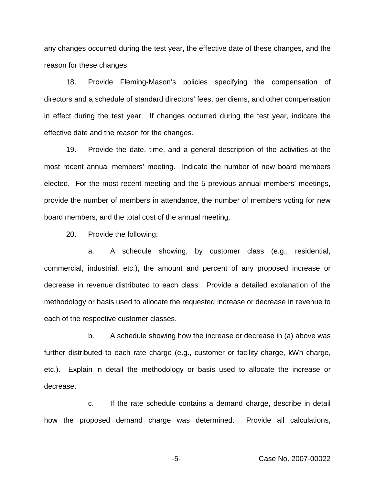any changes occurred during the test year, the effective date of these changes, and the reason for these changes.

18. Provide Fleming-Mason's policies specifying the compensation of directors and a schedule of standard directors' fees, per diems, and other compensation in effect during the test year. If changes occurred during the test year, indicate the effective date and the reason for the changes.

19. Provide the date, time, and a general description of the activities at the most recent annual members' meeting. Indicate the number of new board members elected. For the most recent meeting and the 5 previous annual members' meetings, provide the number of members in attendance, the number of members voting for new board members, and the total cost of the annual meeting.

20. Provide the following:

a. A schedule showing, by customer class (e.g., residential, commercial, industrial, etc.), the amount and percent of any proposed increase or decrease in revenue distributed to each class. Provide a detailed explanation of the methodology or basis used to allocate the requested increase or decrease in revenue to each of the respective customer classes.

b. A schedule showing how the increase or decrease in (a) above was further distributed to each rate charge (e.g., customer or facility charge, kWh charge, etc.). Explain in detail the methodology or basis used to allocate the increase or decrease.

c. If the rate schedule contains a demand charge, describe in detail how the proposed demand charge was determined. Provide all calculations,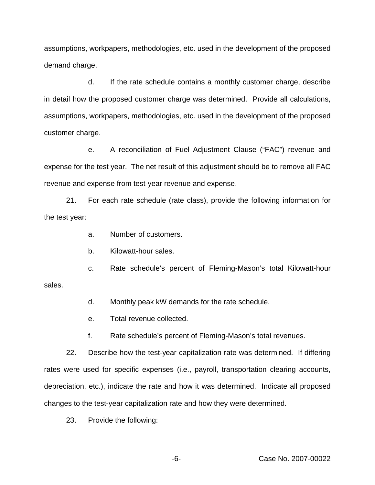assumptions, workpapers, methodologies, etc. used in the development of the proposed demand charge.

d. If the rate schedule contains a monthly customer charge, describe in detail how the proposed customer charge was determined. Provide all calculations, assumptions, workpapers, methodologies, etc. used in the development of the proposed customer charge.

e. A reconciliation of Fuel Adjustment Clause ("FAC") revenue and expense for the test year. The net result of this adjustment should be to remove all FAC revenue and expense from test-year revenue and expense.

21. For each rate schedule (rate class), provide the following information for the test year:

a. Number of customers.

b. Kilowatt-hour sales.

c. Rate schedule's percent of Fleming-Mason's total Kilowatt-hour

sales.

d. Monthly peak kW demands for the rate schedule.

e. Total revenue collected.

f. Rate schedule's percent of Fleming-Mason's total revenues.

22. Describe how the test-year capitalization rate was determined. If differing rates were used for specific expenses (i.e., payroll, transportation clearing accounts, depreciation, etc.), indicate the rate and how it was determined. Indicate all proposed changes to the test-year capitalization rate and how they were determined.

23. Provide the following:

-6- Case No. 2007-00022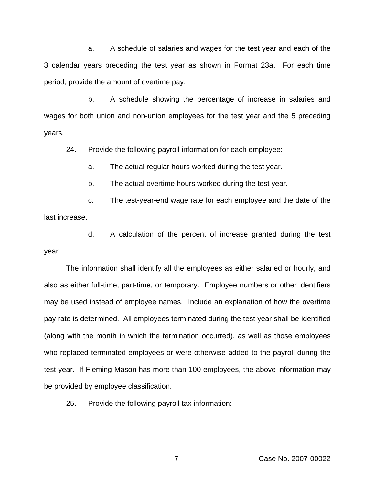a. A schedule of salaries and wages for the test year and each of the 3 calendar years preceding the test year as shown in Format 23a. For each time period, provide the amount of overtime pay.

b. A schedule showing the percentage of increase in salaries and wages for both union and non-union employees for the test year and the 5 preceding years.

24. Provide the following payroll information for each employee:

a. The actual regular hours worked during the test year.

b. The actual overtime hours worked during the test year.

c. The test-year-end wage rate for each employee and the date of the last increase.

d. A calculation of the percent of increase granted during the test year.

The information shall identify all the employees as either salaried or hourly, and also as either full-time, part-time, or temporary. Employee numbers or other identifiers may be used instead of employee names. Include an explanation of how the overtime pay rate is determined. All employees terminated during the test year shall be identified (along with the month in which the termination occurred), as well as those employees who replaced terminated employees or were otherwise added to the payroll during the test year. If Fleming-Mason has more than 100 employees, the above information may be provided by employee classification.

25. Provide the following payroll tax information: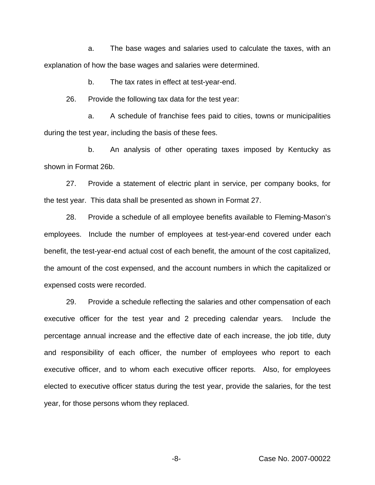a. The base wages and salaries used to calculate the taxes, with an explanation of how the base wages and salaries were determined.

b. The tax rates in effect at test-year-end.

26. Provide the following tax data for the test year:

a. A schedule of franchise fees paid to cities, towns or municipalities during the test year, including the basis of these fees.

b. An analysis of other operating taxes imposed by Kentucky as shown in Format 26b.

27. Provide a statement of electric plant in service, per company books, for the test year. This data shall be presented as shown in Format 27.

28. Provide a schedule of all employee benefits available to Fleming-Mason's employees. Include the number of employees at test-year-end covered under each benefit, the test-year-end actual cost of each benefit, the amount of the cost capitalized, the amount of the cost expensed, and the account numbers in which the capitalized or expensed costs were recorded.

29. Provide a schedule reflecting the salaries and other compensation of each executive officer for the test year and 2 preceding calendar years. Include the percentage annual increase and the effective date of each increase, the job title, duty and responsibility of each officer, the number of employees who report to each executive officer, and to whom each executive officer reports. Also, for employees elected to executive officer status during the test year, provide the salaries, for the test year, for those persons whom they replaced.

-8- Case No. 2007-00022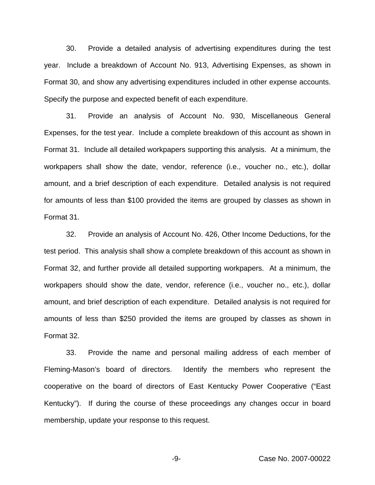30. Provide a detailed analysis of advertising expenditures during the test year. Include a breakdown of Account No. 913, Advertising Expenses, as shown in Format 30, and show any advertising expenditures included in other expense accounts. Specify the purpose and expected benefit of each expenditure.

31. Provide an analysis of Account No. 930, Miscellaneous General Expenses, for the test year. Include a complete breakdown of this account as shown in Format 31. Include all detailed workpapers supporting this analysis. At a minimum, the workpapers shall show the date, vendor, reference (i.e., voucher no., etc.), dollar amount, and a brief description of each expenditure. Detailed analysis is not required for amounts of less than \$100 provided the items are grouped by classes as shown in Format 31.

32. Provide an analysis of Account No. 426, Other Income Deductions, for the test period. This analysis shall show a complete breakdown of this account as shown in Format 32, and further provide all detailed supporting workpapers. At a minimum, the workpapers should show the date, vendor, reference (i.e., voucher no., etc.), dollar amount, and brief description of each expenditure. Detailed analysis is not required for amounts of less than \$250 provided the items are grouped by classes as shown in Format 32.

33. Provide the name and personal mailing address of each member of Fleming-Mason's board of directors. Identify the members who represent the cooperative on the board of directors of East Kentucky Power Cooperative ("East Kentucky"). If during the course of these proceedings any changes occur in board membership, update your response to this request.

-9- Case No. 2007-00022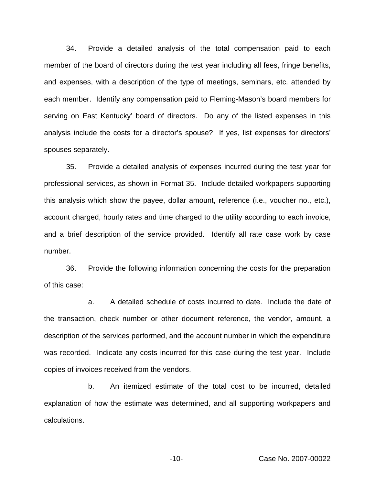34. Provide a detailed analysis of the total compensation paid to each member of the board of directors during the test year including all fees, fringe benefits, and expenses, with a description of the type of meetings, seminars, etc. attended by each member. Identify any compensation paid to Fleming-Mason's board members for serving on East Kentucky' board of directors. Do any of the listed expenses in this analysis include the costs for a director's spouse? If yes, list expenses for directors' spouses separately.

35. Provide a detailed analysis of expenses incurred during the test year for professional services, as shown in Format 35. Include detailed workpapers supporting this analysis which show the payee, dollar amount, reference (i.e., voucher no., etc.), account charged, hourly rates and time charged to the utility according to each invoice, and a brief description of the service provided. Identify all rate case work by case number.

36. Provide the following information concerning the costs for the preparation of this case:

a. A detailed schedule of costs incurred to date. Include the date of the transaction, check number or other document reference, the vendor, amount, a description of the services performed, and the account number in which the expenditure was recorded. Indicate any costs incurred for this case during the test year. Include copies of invoices received from the vendors.

b. An itemized estimate of the total cost to be incurred, detailed explanation of how the estimate was determined, and all supporting workpapers and calculations.

-10- Case No. 2007-00022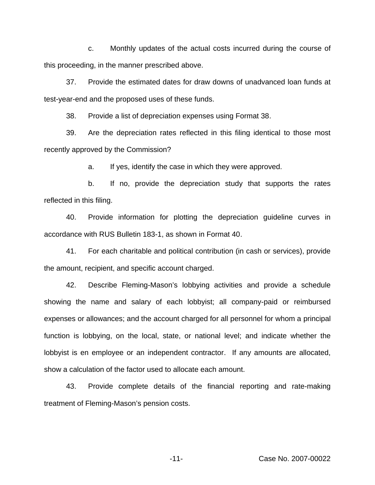c. Monthly updates of the actual costs incurred during the course of this proceeding, in the manner prescribed above.

37. Provide the estimated dates for draw downs of unadvanced loan funds at test-year-end and the proposed uses of these funds.

38. Provide a list of depreciation expenses using Format 38.

39. Are the depreciation rates reflected in this filing identical to those most recently approved by the Commission?

a. If yes, identify the case in which they were approved.

b. If no, provide the depreciation study that supports the rates reflected in this filing.

40. Provide information for plotting the depreciation guideline curves in accordance with RUS Bulletin 183-1, as shown in Format 40.

41. For each charitable and political contribution (in cash or services), provide the amount, recipient, and specific account charged.

42. Describe Fleming-Mason's lobbying activities and provide a schedule showing the name and salary of each lobbyist; all company-paid or reimbursed expenses or allowances; and the account charged for all personnel for whom a principal function is lobbying, on the local, state, or national level; and indicate whether the lobbyist is en employee or an independent contractor. If any amounts are allocated, show a calculation of the factor used to allocate each amount.

43. Provide complete details of the financial reporting and rate-making treatment of Fleming-Mason's pension costs.

-11- Case No. 2007-00022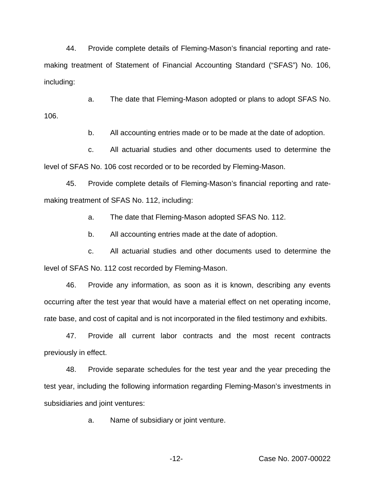44. Provide complete details of Fleming-Mason's financial reporting and ratemaking treatment of Statement of Financial Accounting Standard ("SFAS") No. 106, including:

a. The date that Fleming-Mason adopted or plans to adopt SFAS No. 106.

b. All accounting entries made or to be made at the date of adoption.

c. All actuarial studies and other documents used to determine the level of SFAS No. 106 cost recorded or to be recorded by Fleming-Mason.

45. Provide complete details of Fleming-Mason's financial reporting and ratemaking treatment of SFAS No. 112, including:

a. The date that Fleming-Mason adopted SFAS No. 112.

b. All accounting entries made at the date of adoption.

c. All actuarial studies and other documents used to determine the level of SFAS No. 112 cost recorded by Fleming-Mason.

46. Provide any information, as soon as it is known, describing any events occurring after the test year that would have a material effect on net operating income, rate base, and cost of capital and is not incorporated in the filed testimony and exhibits.

47. Provide all current labor contracts and the most recent contracts previously in effect.

48. Provide separate schedules for the test year and the year preceding the test year, including the following information regarding Fleming-Mason's investments in subsidiaries and joint ventures:

a. Name of subsidiary or joint venture.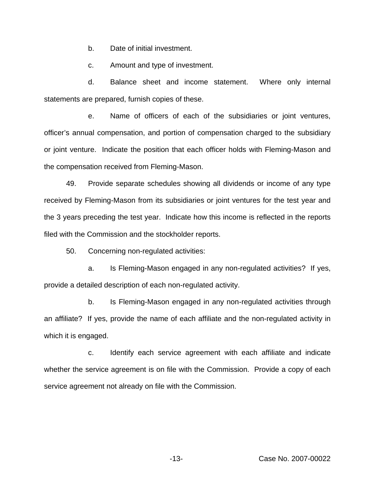b. Date of initial investment.

c. Amount and type of investment.

d. Balance sheet and income statement. Where only internal statements are prepared, furnish copies of these.

e. Name of officers of each of the subsidiaries or joint ventures, officer's annual compensation, and portion of compensation charged to the subsidiary or joint venture. Indicate the position that each officer holds with Fleming-Mason and the compensation received from Fleming-Mason.

49. Provide separate schedules showing all dividends or income of any type received by Fleming-Mason from its subsidiaries or joint ventures for the test year and the 3 years preceding the test year. Indicate how this income is reflected in the reports filed with the Commission and the stockholder reports.

50. Concerning non-regulated activities:

a. Is Fleming-Mason engaged in any non-regulated activities? If yes, provide a detailed description of each non-regulated activity.

b. Is Fleming-Mason engaged in any non-regulated activities through an affiliate? If yes, provide the name of each affiliate and the non-regulated activity in which it is engaged.

c. Identify each service agreement with each affiliate and indicate whether the service agreement is on file with the Commission. Provide a copy of each service agreement not already on file with the Commission.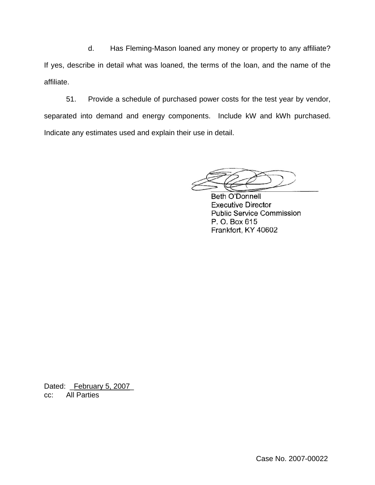d. Has Fleming-Mason loaned any money or property to any affiliate? If yes, describe in detail what was loaned, the terms of the loan, and the name of the affiliate.

51. Provide a schedule of purchased power costs for the test year by vendor, separated into demand and energy components. Include kW and kWh purchased. Indicate any estimates used and explain their use in detail.

**Beth O'Donnell Executive Director Public Service Commission** P. O. Box 615 Frankfort, KY 40602

Dated: February 5, 2007 cc: All Parties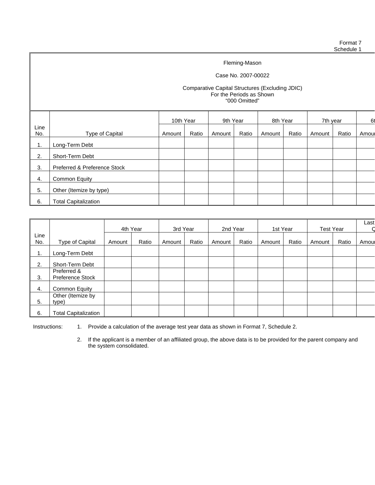Format 7 Schedule 1

Fleming-Mason

Case No. 2007-00022

#### Comparative Capital Structures (Excluding JDIC) For the Periods as Shown "000 Omitted"

|             |                              | 10th Year |       | 9th Year |       | 8th Year |       | 7th year |       | 61    |
|-------------|------------------------------|-----------|-------|----------|-------|----------|-------|----------|-------|-------|
| Line<br>No. | Type of Capital              | Amount    | Ratio | Amount   | Ratio | Amount   | Ratio | Amount   | Ratio | Amoul |
| 1.          | Long-Term Debt               |           |       |          |       |          |       |          |       |       |
| 2.          | Short-Term Debt              |           |       |          |       |          |       |          |       |       |
| 3.          | Preferred & Preference Stock |           |       |          |       |          |       |          |       |       |
| 4.          | Common Equity                |           |       |          |       |          |       |          |       |       |
| 5.          | Other (Itemize by type)      |           |       |          |       |          |       |          |       |       |
| 6.          | <b>Total Capitalization</b>  |           |       |          |       |          |       |          |       |       |

|      |                             | 4th Year |       | 3rd Year |       | 2nd Year |       | 1st Year |       | <b>Test Year</b> |       | Last |
|------|-----------------------------|----------|-------|----------|-------|----------|-------|----------|-------|------------------|-------|------|
| Line |                             |          |       |          |       |          |       |          |       |                  |       |      |
| No.  | Type of Capital             | Amount   | Ratio | Amount   | Ratio | Amount   | Ratio | Amount   | Ratio | Amount           | Ratio | Amou |
| 1.   | Long-Term Debt              |          |       |          |       |          |       |          |       |                  |       |      |
| 2.   | Short-Term Debt             |          |       |          |       |          |       |          |       |                  |       |      |
|      | Preferred &                 |          |       |          |       |          |       |          |       |                  |       |      |
| 3.   | <b>Preference Stock</b>     |          |       |          |       |          |       |          |       |                  |       |      |
| 4.   | <b>Common Equity</b>        |          |       |          |       |          |       |          |       |                  |       |      |
|      | Other (Itemize by           |          |       |          |       |          |       |          |       |                  |       |      |
| 5.   | type)                       |          |       |          |       |          |       |          |       |                  |       |      |
| 6.   | <b>Total Capitalization</b> |          |       |          |       |          |       |          |       |                  |       |      |

Instructions: 1. Provide a calculation of the average test year data as shown in Format 7, Schedule 2.

2. If the applicant is a member of an affiliated group, the above data is to be provided for the parent company and the system consolidated.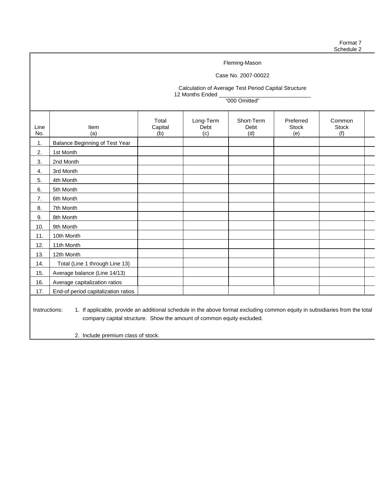#### Case No. 2007-00022

Calculation of Average Test Period Capital Structure 12 Months Ended

"000 Omitted"

| Line<br>No.   | Item<br>(a)                                                                                                                 | Total<br>Capital<br>(b) | Long-Term<br>Debt<br>(c) | Short-Term<br>Debt<br>(d) | Preferred<br><b>Stock</b><br>(e) | Common<br><b>Stock</b><br>(f) |  |
|---------------|-----------------------------------------------------------------------------------------------------------------------------|-------------------------|--------------------------|---------------------------|----------------------------------|-------------------------------|--|
| 1.            | <b>Balance Beginning of Test Year</b>                                                                                       |                         |                          |                           |                                  |                               |  |
| 2.            | 1st Month                                                                                                                   |                         |                          |                           |                                  |                               |  |
| 3.            | 2nd Month                                                                                                                   |                         |                          |                           |                                  |                               |  |
| 4.            | 3rd Month                                                                                                                   |                         |                          |                           |                                  |                               |  |
| 5.            | 4th Month                                                                                                                   |                         |                          |                           |                                  |                               |  |
| 6.            | 5th Month                                                                                                                   |                         |                          |                           |                                  |                               |  |
| 7.            | 6th Month                                                                                                                   |                         |                          |                           |                                  |                               |  |
| 8.            | 7th Month                                                                                                                   |                         |                          |                           |                                  |                               |  |
| 9.            | 8th Month                                                                                                                   |                         |                          |                           |                                  |                               |  |
| 10.           | 9th Month                                                                                                                   |                         |                          |                           |                                  |                               |  |
| 11.           | 10th Month                                                                                                                  |                         |                          |                           |                                  |                               |  |
| 12.           | 11th Month                                                                                                                  |                         |                          |                           |                                  |                               |  |
| 13.           | 12th Month                                                                                                                  |                         |                          |                           |                                  |                               |  |
| 14.           | Total (Line 1 through Line 13)                                                                                              |                         |                          |                           |                                  |                               |  |
| 15.           | Average balance (Line 14/13)                                                                                                |                         |                          |                           |                                  |                               |  |
| 16.           | Average capitalization ratios                                                                                               |                         |                          |                           |                                  |                               |  |
| 17.           | End-of period capitalization ratios                                                                                         |                         |                          |                           |                                  |                               |  |
| Instructions: | 1. If applicable, provide an additional schedule in the above format excluding common equity in subsidiaries from the total |                         |                          |                           |                                  |                               |  |

company capital structure. Show the amount of common equity excluded.

2. Include premium class of stock.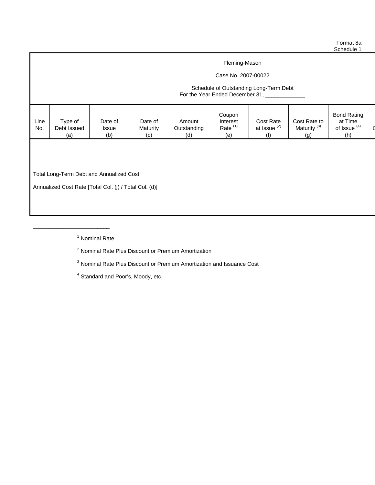Format 8a Schedule 1

#### Fleming-Mason

## Case No. 2007-00022

#### Schedule of Outstanding Long-Term Debt For the Year Ended December 31, \_\_\_\_\_\_\_

|--|

Total Long-Term Debt and Annualized Cost

\_\_\_\_\_\_\_\_\_\_\_\_\_\_\_\_\_\_\_\_\_\_\_\_\_

Annualized Cost Rate [Total Col. (j) / Total Col. (d)]

<sup>1</sup> Nominal Rate

<sup>2</sup> Nominal Rate Plus Discount or Premium Amortization

<sup>3</sup> Nominal Rate Plus Discount or Premium Amortization and Issuance Cost

<sup>4</sup> Standard and Poor's, Moody, etc.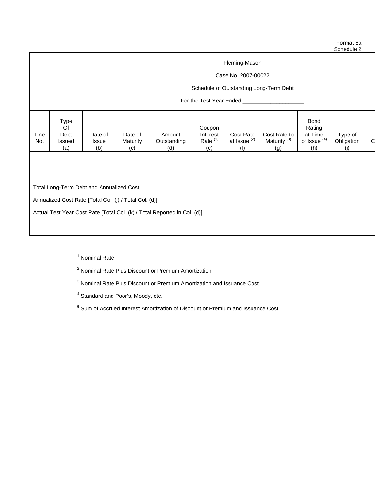Case No. 2007-00022

## Schedule of Outstanding Long-Term Debt

## For the Test Year Ended \_\_\_\_\_\_

| Type<br><b>Bond</b><br>Rating<br>Of<br>Coupon<br>Cost Rate to<br>Line<br>Debt<br>at Time<br>Type of<br>Date of<br>Cost Rate<br>Date of<br>Amount<br>Interest<br>⌒ |     |        |              |          |             |                     |                         |                         |                         |            |  |
|-------------------------------------------------------------------------------------------------------------------------------------------------------------------|-----|--------|--------------|----------|-------------|---------------------|-------------------------|-------------------------|-------------------------|------------|--|
| (b)<br>(h)<br>(d)<br>(a)<br>(e)<br>(c)<br>(q)                                                                                                                     | No. | Issued | <b>Issue</b> | Maturity | Outstanding | Rate <sup>(1)</sup> | at Issue <sup>(2)</sup> | Maturity <sup>(3)</sup> | of Issue <sup>(4)</sup> | Obligation |  |

Total Long-Term Debt and Annualized Cost

Annualized Cost Rate [Total Col. (j) / Total Col. (d)]

Actual Test Year Cost Rate [Total Col. (k) / Total Reported in Col. (d)]

<sup>1</sup> Nominal Rate

\_\_\_\_\_\_\_\_\_\_\_\_\_\_\_\_\_\_\_\_\_\_\_\_\_

<sup>2</sup> Nominal Rate Plus Discount or Premium Amortization

<sup>3</sup> Nominal Rate Plus Discount or Premium Amortization and Issuance Cost

<sup>4</sup> Standard and Poor's, Moody, etc.

<sup>5</sup> Sum of Accrued Interest Amortization of Discount or Premium and Issuance Cost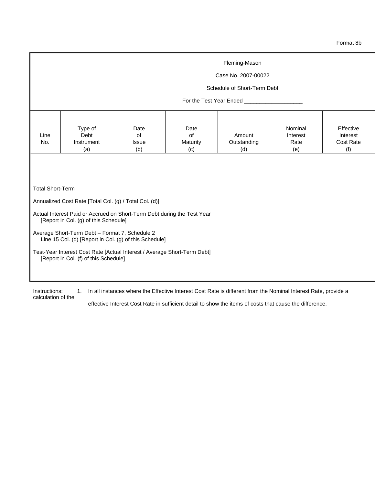Case No. 2007-00022

#### Schedule of Short-Term Debt

#### For the Test Year Ended \_\_\_

| (e)<br>(a)<br>(b)<br>(d)<br>(c) | Line<br>No. | Type of<br>Debt<br>Instrument | Date<br>οt<br>Issue | Date<br>0t<br>Maturity | Amount<br>Outstanding | Nominal<br>Interest<br>Rate | Effective<br>Interest<br>Cost Rate |
|---------------------------------|-------------|-------------------------------|---------------------|------------------------|-----------------------|-----------------------------|------------------------------------|
|---------------------------------|-------------|-------------------------------|---------------------|------------------------|-----------------------|-----------------------------|------------------------------------|

Total Short-Term

Annualized Cost Rate [Total Col. (g) / Total Col. (d)]

- Actual Interest Paid or Accrued on Short-Term Debt during the Test Year [Report in Col. (g) of this Schedule]
- Average Short-Term Debt Format 7, Schedule 2 Line 15 Col. (d) [Report in Col. (g) of this Schedule]
- Test-Year Interest Cost Rate [Actual Interest / Average Short-Term Debt] [Report in Col. (f) of this Schedule]

Instructions: 1. In all instances where the Effective Interest Cost Rate is different from the Nominal Interest Rate, provide a calculation of the

effective Interest Cost Rate in sufficient detail to show the items of costs that cause the difference.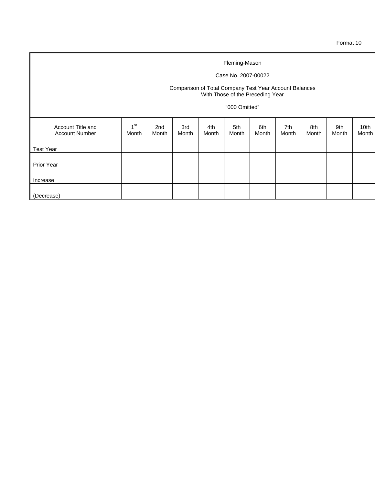## Case No. 2007-00022

#### Comparison of Total Company Test Year Account Balances With Those of the Preceding Year

#### "000 Omitted"

| Account Title and<br><b>Account Number</b> | 4 <sup>st</sup><br>Month | 2nd<br>Month | 3rd<br>Month | 4th<br>Month | 5th<br>Month | 6th<br>Month | 7th<br>Month | 8th<br>Month | 9th<br>Month | 10th<br>Month |
|--------------------------------------------|--------------------------|--------------|--------------|--------------|--------------|--------------|--------------|--------------|--------------|---------------|
| <b>Test Year</b>                           |                          |              |              |              |              |              |              |              |              |               |
| Prior Year                                 |                          |              |              |              |              |              |              |              |              |               |
| Increase                                   |                          |              |              |              |              |              |              |              |              |               |
| (Decrease)                                 |                          |              |              |              |              |              |              |              |              |               |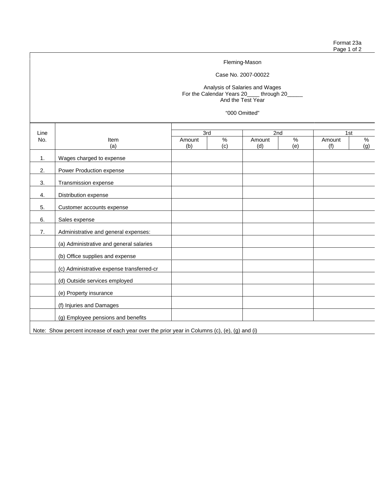Case No. 2007-00022

Analysis of Salaries and Wages For the Calendar Years 20\_\_\_\_ through 20\_\_\_\_\_ And the Test Year

"000 Omitted"

| Line |                                                                                               | 3rd    |      | 2nd    |     | 1st    |     |
|------|-----------------------------------------------------------------------------------------------|--------|------|--------|-----|--------|-----|
| No.  | Item                                                                                          | Amount | $\%$ | Amount | %   | Amount | %   |
|      | (a)                                                                                           | (b)    | (c)  | (d)    | (e) | (f)    | (g) |
| 1.   | Wages charged to expense                                                                      |        |      |        |     |        |     |
| 2.   | Power Production expense                                                                      |        |      |        |     |        |     |
| 3.   | Transmission expense                                                                          |        |      |        |     |        |     |
| 4.   | Distribution expense                                                                          |        |      |        |     |        |     |
| 5.   | Customer accounts expense                                                                     |        |      |        |     |        |     |
| 6.   | Sales expense                                                                                 |        |      |        |     |        |     |
| 7.   | Administrative and general expenses:                                                          |        |      |        |     |        |     |
|      | (a) Administrative and general salaries                                                       |        |      |        |     |        |     |
|      | (b) Office supplies and expense                                                               |        |      |        |     |        |     |
|      | (c) Administrative expense transferred-cr                                                     |        |      |        |     |        |     |
|      | (d) Outside services employed                                                                 |        |      |        |     |        |     |
|      | (e) Property insurance                                                                        |        |      |        |     |        |     |
|      | (f) Injuries and Damages                                                                      |        |      |        |     |        |     |
|      | (g) Employee pensions and benefits                                                            |        |      |        |     |        |     |
|      | Note: Show percent increase of each year over the prior year in Columns (c), (e), (g) and (i) |        |      |        |     |        |     |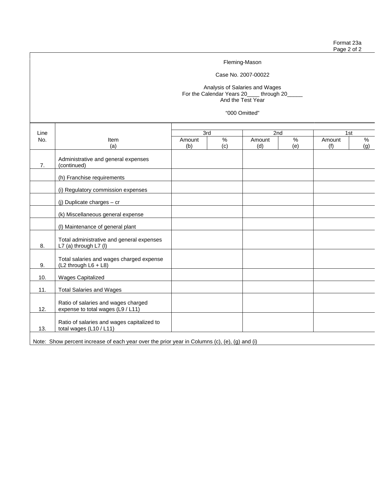Case No. 2007-00022

Analysis of Salaries and Wages For the Calendar Years 20\_\_\_\_ through 20\_\_\_\_\_ And the Test Year

"000 Omitted"

| Line |                                                                                               | 3rd    |               | 2nd    |               | 1st    |     |
|------|-----------------------------------------------------------------------------------------------|--------|---------------|--------|---------------|--------|-----|
| No.  | Item                                                                                          | Amount | $\frac{9}{6}$ | Amount | $\frac{9}{6}$ | Amount | %   |
|      | (a)                                                                                           | (b)    | (c)           | (d)    | (e)           | (f)    | (g) |
| 7.   | Administrative and general expenses<br>(continued)                                            |        |               |        |               |        |     |
|      | (h) Franchise requirements                                                                    |        |               |        |               |        |     |
|      | (i) Regulatory commission expenses                                                            |        |               |        |               |        |     |
|      | (j) Duplicate charges $-$ cr                                                                  |        |               |        |               |        |     |
|      | (k) Miscellaneous general expense                                                             |        |               |        |               |        |     |
|      | (I) Maintenance of general plant                                                              |        |               |        |               |        |     |
| 8.   | Total administrative and general expenses<br>L7 (a) through L7 (I)                            |        |               |        |               |        |     |
| 9.   | Total salaries and wages charged expense<br>(L2 through L6 + L8)                              |        |               |        |               |        |     |
| 10.  | <b>Wages Capitalized</b>                                                                      |        |               |        |               |        |     |
| 11.  | <b>Total Salaries and Wages</b>                                                               |        |               |        |               |        |     |
| 12.  | Ratio of salaries and wages charged<br>expense to total wages (L9 / L11)                      |        |               |        |               |        |     |
| 13.  | Ratio of salaries and wages capitalized to<br>total wages (L10 / L11)                         |        |               |        |               |        |     |
|      | Note: Show percent increase of each year over the prior year in Columns (c), (e), (g) and (i) |        |               |        |               |        |     |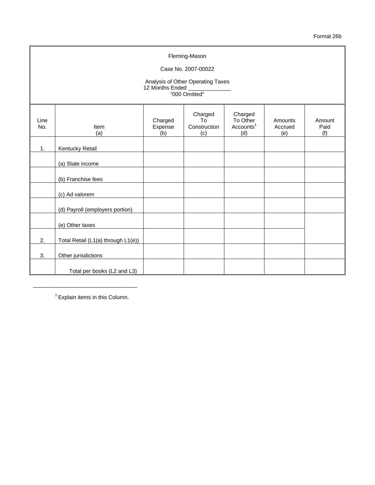Format 26b

|             | Fleming-Mason<br>Case No. 2007-00022<br>Analysis of Other Operating Taxes<br>12 Months Ended<br>"000 Omitted" |                           |                                      |                                                     |                           |                       |  |  |  |  |  |
|-------------|---------------------------------------------------------------------------------------------------------------|---------------------------|--------------------------------------|-----------------------------------------------------|---------------------------|-----------------------|--|--|--|--|--|
| Line<br>No. | Item<br>(a)                                                                                                   | Charged<br>Expense<br>(b) | Charged<br>To<br>Construction<br>(c) | Charged<br>To Other<br>Accounts <sup>1</sup><br>(d) | Amounts<br>Accrued<br>(e) | Amount<br>Paid<br>(f) |  |  |  |  |  |
| 1.          | Kentucky Retail                                                                                               |                           |                                      |                                                     |                           |                       |  |  |  |  |  |
|             | (a) State income                                                                                              |                           |                                      |                                                     |                           |                       |  |  |  |  |  |
|             | (b) Franchise fees                                                                                            |                           |                                      |                                                     |                           |                       |  |  |  |  |  |
|             | (c) Ad valorem                                                                                                |                           |                                      |                                                     |                           |                       |  |  |  |  |  |
|             | (d) Payroll (employers portion)                                                                               |                           |                                      |                                                     |                           |                       |  |  |  |  |  |
|             | (e) Other taxes                                                                                               |                           |                                      |                                                     |                           |                       |  |  |  |  |  |
| 2.          | Total Retail (L1(a) through L1(e))                                                                            |                           |                                      |                                                     |                           |                       |  |  |  |  |  |
| 3.          | Other jurisdictions                                                                                           |                           |                                      |                                                     |                           |                       |  |  |  |  |  |
|             | Total per books (L2 and L3)                                                                                   |                           |                                      |                                                     |                           |                       |  |  |  |  |  |

 $1$  Explain items in this Column.

\_\_\_\_\_\_\_\_\_\_\_\_\_\_\_\_\_\_\_\_\_\_\_\_\_\_\_\_\_\_\_\_\_\_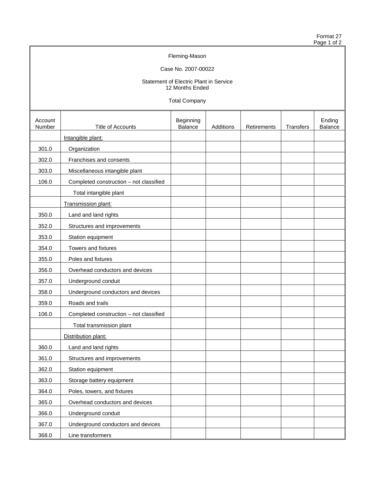Format 27 Page 1 of 2

# Fleming-Mason

## Case No. 2007-00022

#### Statement of Electric Plant in Service 12 Months Ended

Total Company

|                   |                                         | olui voitipuit,      |           |             |           |                   |
|-------------------|-----------------------------------------|----------------------|-----------|-------------|-----------|-------------------|
| Account<br>Number | Title of Accounts                       | Beginning<br>Balance | Additions | Retirements | Transfers | Ending<br>Balance |
|                   | Intangible plant:                       |                      |           |             |           |                   |
| 301.0             | Organization                            |                      |           |             |           |                   |
| 302.0             | Franchises and consents                 |                      |           |             |           |                   |
| 303.0             | Miscellaneous intangible plant          |                      |           |             |           |                   |
| 106.0             | Completed construction - not classified |                      |           |             |           |                   |
|                   | Total intangible plant                  |                      |           |             |           |                   |
|                   | Transmission plant:                     |                      |           |             |           |                   |
| 350.0             | Land and land rights                    |                      |           |             |           |                   |
| 352.0             | Structures and improvements             |                      |           |             |           |                   |
| 353.0             | Station equipment                       |                      |           |             |           |                   |
| 354.0             | Towers and fixtures                     |                      |           |             |           |                   |
| 355.0             | Poles and fixtures                      |                      |           |             |           |                   |
| 356.0             | Overhead conductors and devices         |                      |           |             |           |                   |
| 357.0             | Underground conduit                     |                      |           |             |           |                   |
| 358.0             | Underground conductors and devices      |                      |           |             |           |                   |
| 359.0             | Roads and trails                        |                      |           |             |           |                   |
| 106.0             | Completed construction - not classified |                      |           |             |           |                   |
|                   | Total transmission plant                |                      |           |             |           |                   |
|                   | Distribution plant:                     |                      |           |             |           |                   |
| 360.0             | Land and land rights                    |                      |           |             |           |                   |
| 361.0             | Structures and improvements             |                      |           |             |           |                   |
| 362.0             | Station equipment                       |                      |           |             |           |                   |
| 363.0             | Storage battery equipment               |                      |           |             |           |                   |
| 364.0             | Poles, towers, and fixtures             |                      |           |             |           |                   |
| 365.0             | Overhead conductors and devices         |                      |           |             |           |                   |
| 366.0             | Underground conduit                     |                      |           |             |           |                   |
| 367.0             | Underground conductors and devices      |                      |           |             |           |                   |
| 368.0             | Line transformers                       |                      |           |             |           |                   |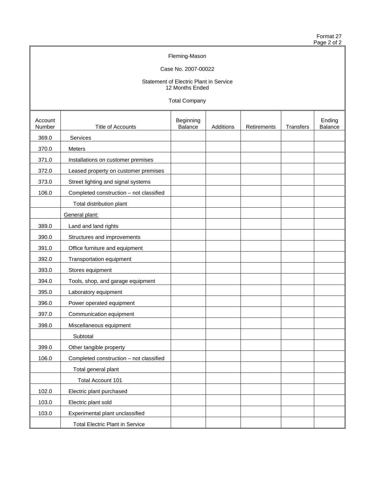Format 27 Page 2 of 2

# Fleming-Mason

## Case No. 2007-00022

#### Statement of Electric Plant in Service 12 Months Ended

Total Company

| Account<br>Number | Title of Accounts                       | Beginning<br>Balance | Additions | Retirements | <b>Transfers</b> | Ending<br>Balance |
|-------------------|-----------------------------------------|----------------------|-----------|-------------|------------------|-------------------|
| 369.0             | Services                                |                      |           |             |                  |                   |
| 370.0             | Meters                                  |                      |           |             |                  |                   |
| 371.0             | Installations on customer premises      |                      |           |             |                  |                   |
| 372.0             | Leased property on customer premises    |                      |           |             |                  |                   |
| 373.0             | Street lighting and signal systems      |                      |           |             |                  |                   |
| 106.0             | Completed construction - not classified |                      |           |             |                  |                   |
|                   | Total distribution plant                |                      |           |             |                  |                   |
|                   | General plant:                          |                      |           |             |                  |                   |
| 389.0             | Land and land rights                    |                      |           |             |                  |                   |
| 390.0             | Structures and improvements             |                      |           |             |                  |                   |
| 391.0             | Office furniture and equipment          |                      |           |             |                  |                   |
| 392.0             | Transportation equipment                |                      |           |             |                  |                   |
| 393.0             | Stores equipment                        |                      |           |             |                  |                   |
| 394.0             | Tools, shop, and garage equipment       |                      |           |             |                  |                   |
| 395.0             | Laboratory equipment                    |                      |           |             |                  |                   |
| 396.0             | Power operated equipment                |                      |           |             |                  |                   |
| 397.0             | Communication equipment                 |                      |           |             |                  |                   |
| 398.0             | Miscellaneous equipment                 |                      |           |             |                  |                   |
|                   | Subtotal                                |                      |           |             |                  |                   |
| 399.0             | Other tangible property                 |                      |           |             |                  |                   |
| 106.0             | Completed construction - not classified |                      |           |             |                  |                   |
|                   | Total general plant                     |                      |           |             |                  |                   |
|                   | Total Account 101                       |                      |           |             |                  |                   |
| 102.0             | Electric plant purchased                |                      |           |             |                  |                   |
| 103.0             | Electric plant sold                     |                      |           |             |                  |                   |
| 103.0             | Experimental plant unclassified         |                      |           |             |                  |                   |
|                   | <b>Total Electric Plant in Service</b>  |                      |           |             |                  |                   |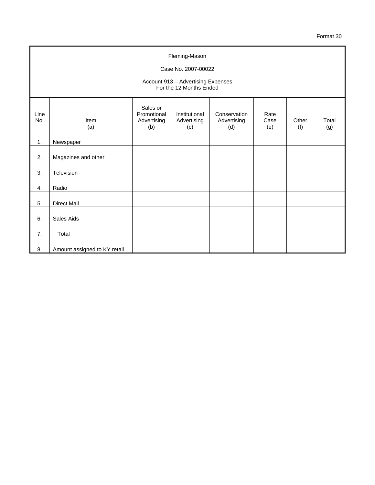| Fleming-Mason<br>Case No. 2007-00022<br>Account 913 - Advertising Expenses<br>For the 12 Months Ended |                              |                                               |                                     |                                    |                     |              |              |
|-------------------------------------------------------------------------------------------------------|------------------------------|-----------------------------------------------|-------------------------------------|------------------------------------|---------------------|--------------|--------------|
| Line<br>No.                                                                                           | Item<br>(a)                  | Sales or<br>Promotional<br>Advertising<br>(b) | Institutional<br>Advertising<br>(c) | Conservation<br>Advertising<br>(d) | Rate<br>Case<br>(e) | Other<br>(f) | Total<br>(g) |
| 1.                                                                                                    | Newspaper                    |                                               |                                     |                                    |                     |              |              |
| 2.                                                                                                    | Magazines and other          |                                               |                                     |                                    |                     |              |              |
| 3.                                                                                                    | Television                   |                                               |                                     |                                    |                     |              |              |
| 4.                                                                                                    | Radio                        |                                               |                                     |                                    |                     |              |              |
| 5.                                                                                                    | <b>Direct Mail</b>           |                                               |                                     |                                    |                     |              |              |
| 6.                                                                                                    | Sales Aids                   |                                               |                                     |                                    |                     |              |              |
| 7.                                                                                                    | Total                        |                                               |                                     |                                    |                     |              |              |
| 8.                                                                                                    | Amount assigned to KY retail |                                               |                                     |                                    |                     |              |              |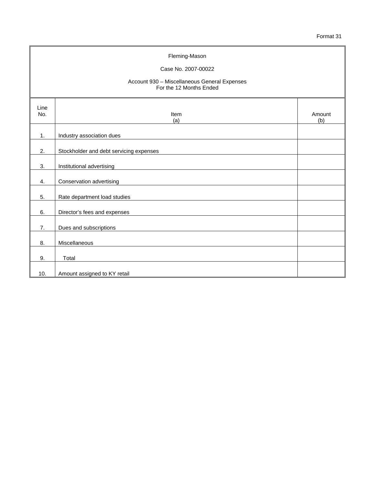| Fleming-Mason<br>Case No. 2007-00022<br>Account 930 - Miscellaneous General Expenses<br>For the 12 Months Ended |                                         |               |  |  |
|-----------------------------------------------------------------------------------------------------------------|-----------------------------------------|---------------|--|--|
| Line<br>No.                                                                                                     | Item<br>(a)                             | Amount<br>(b) |  |  |
| 1.                                                                                                              | Industry association dues               |               |  |  |
| 2.                                                                                                              | Stockholder and debt servicing expenses |               |  |  |
| 3.                                                                                                              | Institutional advertising               |               |  |  |
| 4.                                                                                                              | Conservation advertising                |               |  |  |
| 5.                                                                                                              | Rate department load studies            |               |  |  |
| 6.                                                                                                              | Director's fees and expenses            |               |  |  |
| 7.                                                                                                              | Dues and subscriptions                  |               |  |  |
| 8.                                                                                                              | Miscellaneous                           |               |  |  |
| 9.                                                                                                              | Total                                   |               |  |  |
| 10.                                                                                                             | Amount assigned to KY retail            |               |  |  |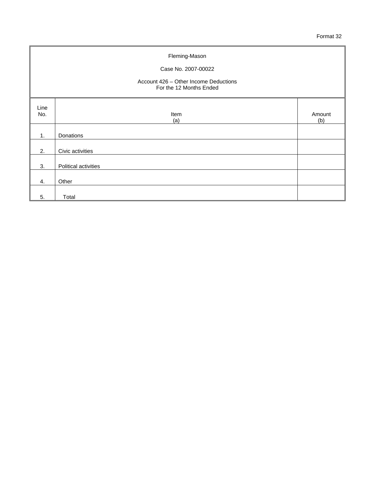| Fleming-Mason<br>Case No. 2007-00022<br>Account 426 - Other Income Deductions<br>For the 12 Months Ended |                      |               |  |  |  |
|----------------------------------------------------------------------------------------------------------|----------------------|---------------|--|--|--|
| Line<br>No.                                                                                              | Item<br>(a)          | Amount<br>(b) |  |  |  |
| 1.                                                                                                       | Donations            |               |  |  |  |
| 2.                                                                                                       | Civic activities     |               |  |  |  |
| 3.                                                                                                       | Political activities |               |  |  |  |
| 4.                                                                                                       | Other                |               |  |  |  |
| 5.                                                                                                       | Total                |               |  |  |  |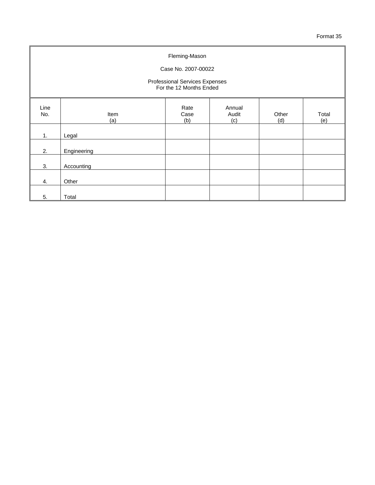| Fleming-Mason<br>Case No. 2007-00022                      |             |                     |                        |              |              |
|-----------------------------------------------------------|-------------|---------------------|------------------------|--------------|--------------|
| Professional Services Expenses<br>For the 12 Months Ended |             |                     |                        |              |              |
| Line<br>No.                                               | Item<br>(a) | Rate<br>Case<br>(b) | Annual<br>Audit<br>(c) | Other<br>(d) | Total<br>(e) |
| 1.                                                        | Legal       |                     |                        |              |              |
| 2.                                                        | Engineering |                     |                        |              |              |
| 3.                                                        | Accounting  |                     |                        |              |              |
| 4.                                                        | Other       |                     |                        |              |              |
| 5.                                                        | Total       |                     |                        |              |              |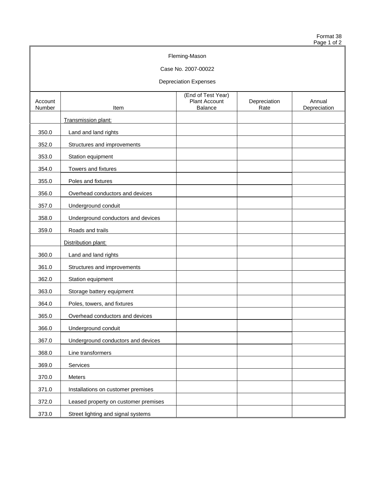Format 38 Page 1 of 2

# Fleming-Mason Case No. 2007-00022 Depreciation Expenses (End of Test Year) Account | Account | Annual | Plant Account | Depreciation | Annual | Number | Count | Annual | Depreciation | Annual | Depreciation | Annual | Depreciation | Annual | Depreciation | Annual | Depreciation | Depreciation | D Number 2011 11 Rate Number 2012 11: Rate Number 2014 12: Rate Number 2014 12: Rate Number 2014 12: Rate Number Transmission plant: 350.0 Land and land rights 352.0 Structures and improvements 353.0 Station equipment 354.0 Towers and fixtures 355.0 Poles and fixtures 356.0 Overhead conductors and devices 357.0 Underground conduit 358.0 Underground conductors and devices 359.0 Roads and trails Distribution plant: 360.0 Land and land rights 361.0 Structures and improvements 362.0 Station equipment 363.0 Storage battery equipment 364.0 Poles, towers, and fixtures 365.0 Overhead conductors and devices 366.0 Underground conduit 367.0 Underground conductors and devices 368.0 Line transformers 369.0 Services 370.0 Meters 371.0 | Installations on customer premises 372.0 | Leased property on customer premises 373.0 Street lighting and signal systems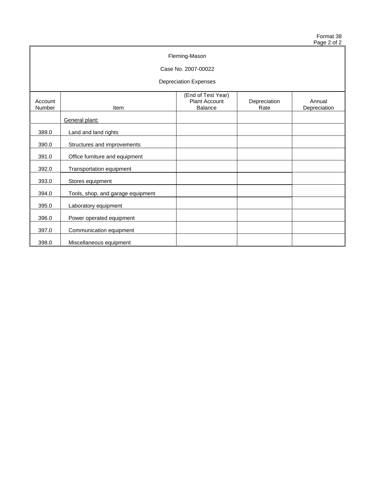Format 38 Page 2 of 2

| Fleming-Mason                |                                   |                                                              |                      |                        |  |  |
|------------------------------|-----------------------------------|--------------------------------------------------------------|----------------------|------------------------|--|--|
| Case No. 2007-00022          |                                   |                                                              |                      |                        |  |  |
| <b>Depreciation Expenses</b> |                                   |                                                              |                      |                        |  |  |
| Account<br>Number            | Item                              | (End of Test Year)<br><b>Plant Account</b><br><b>Balance</b> | Depreciation<br>Rate | Annual<br>Depreciation |  |  |
|                              | General plant:                    |                                                              |                      |                        |  |  |
| 389.0                        | Land and land rights              |                                                              |                      |                        |  |  |
| 390.0                        | Structures and improvements       |                                                              |                      |                        |  |  |
| 391.0                        | Office furniture and equipment    |                                                              |                      |                        |  |  |
| 392.0                        | Transportation equipment          |                                                              |                      |                        |  |  |
| 393.0                        | Stores equipment                  |                                                              |                      |                        |  |  |
| 394.0                        | Tools, shop, and garage equipment |                                                              |                      |                        |  |  |
| 395.0                        | Laboratory equipment              |                                                              |                      |                        |  |  |
| 396.0                        | Power operated equipment          |                                                              |                      |                        |  |  |
| 397.0                        | Communication equipment           |                                                              |                      |                        |  |  |
| 398.0                        | Miscellaneous equipment           |                                                              |                      |                        |  |  |